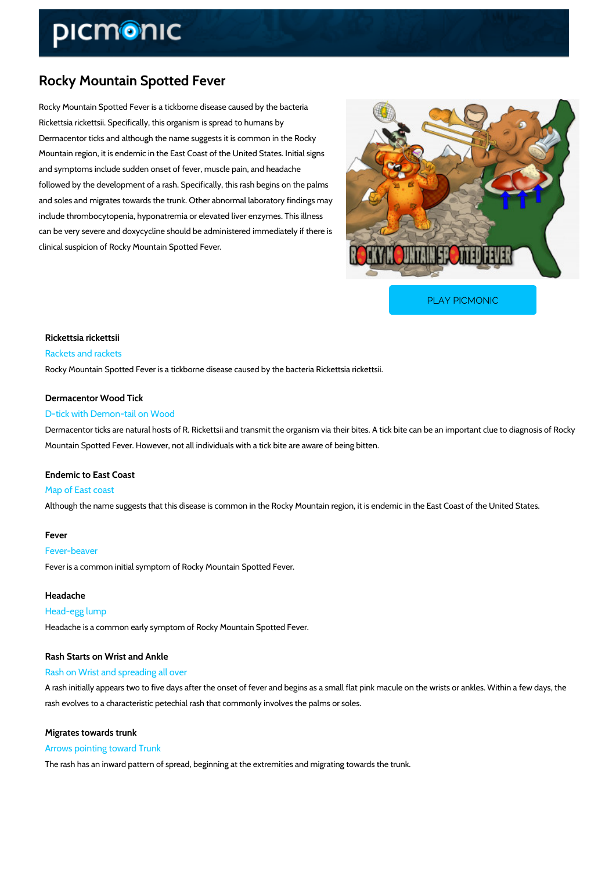# Rocky Mountain Spotted Fever

Rocky Mountain Spotted Fever is a tickborne disease caused by the bacteria Rickettsia rickettsii. Specifically, this organism is spread to humans by Dermacentor ticks and although the name suggests it is common in the Rocky Mountain region, it is endemic in the East Coast of the United States. Initial signs and symptoms include sudden onset of fever, muscle pain, and headache followed by the development of a rash. Specifically, this rash begins on the palms and soles and migrates towards the trunk. Other abnormal laboratory findings may include thrombocytopenia, hyponatremia or elevated liver enzymes. This illness can be very severe and doxycycline should be administered immediately if there is clinical suspicion of Rocky Mountain Spotted Fever.

[PLAY PICMONIC](https://www.picmonic.com/learn/rocky-mountain-spotted-fever_323?utm_source=downloadable_content&utm_medium=distributedcontent&utm_campaign=pathways_pdf&utm_content=Rocky Mountain Spotted Fever&utm_ad_group=leads&utm_market=all)

Rickettsia rickettsii Rackets and rackets Rocky Mountain Spotted Fever is a tickborne disease caused by the bacteria Rickettsia ricket

Dermacentor Wood Tick D-tick with Demon-tail on Wood Dermacentor ticks are natural hosts of R. Rickettsii and transmit the organism via their bites. Mountain Spotted Fever. However, not all individuals with a tick bite are aware of being bitten.

Endemic to East Coast Map of East coast Although the name suggests that this disease is common in the Rocky Mountain region, it is e

#### Fever

Fever-beaver

Fever is a common initial symptom of Rocky Mountain Spotted Fever.

Headache Head-egg lump Headache is a common early symptom of Rocky Mountain Spotted Fever.

Rash Starts on Wrist and Ankle Rash on Wrist and spreading all over

A rash initially appears two to five days after the onset of fever and begins as a small flat pi rash evolves to a characteristic petechial rash that commonly involves the palms or soles.

Migrates towards trunk Arrows pointing toward Trunk

The rash has an inward pattern of spread, beginning at the extremities and migrating towards